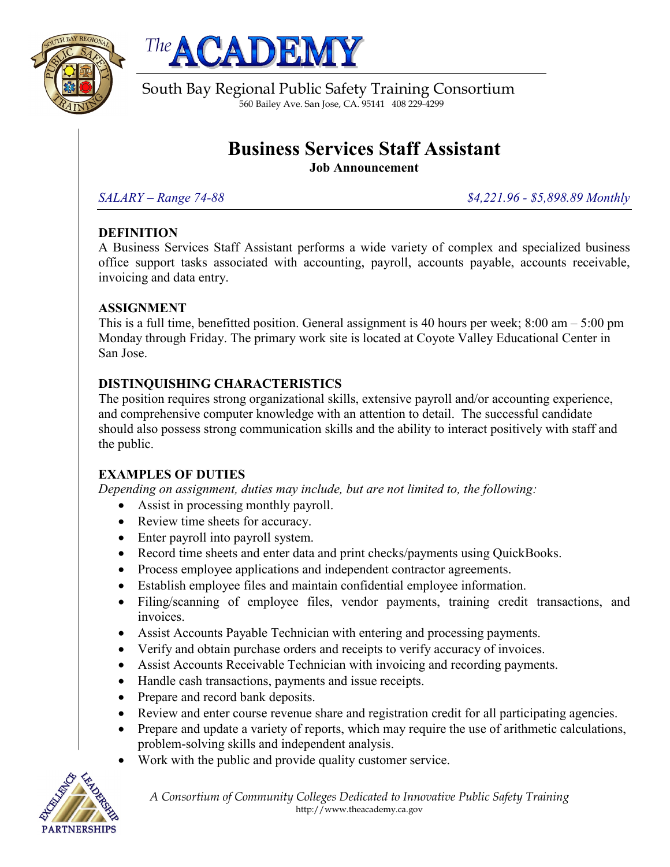



South Bay Regional Public Safety Training Consortium 560 Bailey Ave. San Jose, CA. 95141 408 229-4299

# **Business Services Staff Assistant**

**Job Announcement**

*SALARY – Range 74-88 \$4,221.96 - \$5,898.89 Monthly*

## **DEFINITION**

A Business Services Staff Assistant performs a wide variety of complex and specialized business office support tasks associated with accounting, payroll, accounts payable, accounts receivable, invoicing and data entry.

# **ASSIGNMENT**

This is a full time, benefitted position. General assignment is 40 hours per week;  $8:00 \text{ am} - 5:00 \text{ pm}$ Monday through Friday. The primary work site is located at Coyote Valley Educational Center in San Jose.

# **DISTINQUISHING CHARACTERISTICS**

The position requires strong organizational skills, extensive payroll and/or accounting experience, and comprehensive computer knowledge with an attention to detail. The successful candidate should also possess strong communication skills and the ability to interact positively with staff and the public.

# **EXAMPLES OF DUTIES**

*Depending on assignment, duties may include, but are not limited to, the following:*

- Assist in processing monthly payroll.
- Review time sheets for accuracy.
- Enter payroll into payroll system.
- Record time sheets and enter data and print checks/payments using QuickBooks.
- Process employee applications and independent contractor agreements.
- Establish employee files and maintain confidential employee information.
- Filing/scanning of employee files, vendor payments, training credit transactions, and invoices.
- Assist Accounts Payable Technician with entering and processing payments.
- Verify and obtain purchase orders and receipts to verify accuracy of invoices.
- Assist Accounts Receivable Technician with invoicing and recording payments.
- Handle cash transactions, payments and issue receipts.
- Prepare and record bank deposits.
- Review and enter course revenue share and registration credit for all participating agencies.
- Prepare and update a variety of reports, which may require the use of arithmetic calculations, problem-solving skills and independent analysis.
- Work with the public and provide quality customer service.



*A Consortium of Community Colleges Dedicated to Innovative Public Safety Training* http://www.theacademy.ca.gov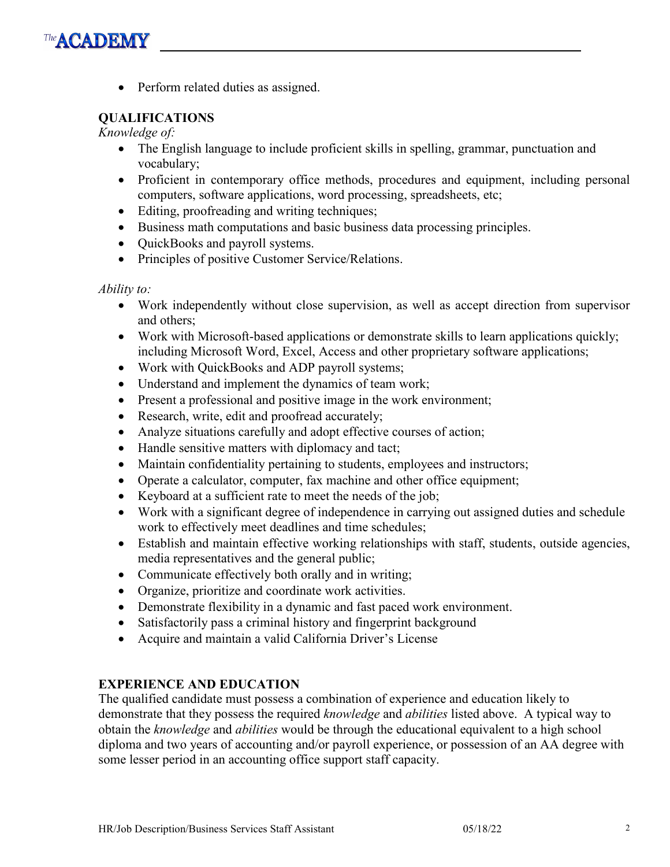• Perform related duties as assigned.

### **QUALIFICATIONS**

*Knowledge of:*

- The English language to include proficient skills in spelling, grammar, punctuation and vocabulary;
- Proficient in contemporary office methods, procedures and equipment, including personal computers, software applications, word processing, spreadsheets, etc;
- Editing, proofreading and writing techniques;
- Business math computations and basic business data processing principles.
- QuickBooks and payroll systems.
- Principles of positive Customer Service/Relations.

#### *Ability to:*

- Work independently without close supervision, as well as accept direction from supervisor and others;
- Work with Microsoft-based applications or demonstrate skills to learn applications quickly; including Microsoft Word, Excel, Access and other proprietary software applications;
- Work with QuickBooks and ADP payroll systems;
- Understand and implement the dynamics of team work;
- Present a professional and positive image in the work environment;
- Research, write, edit and proofread accurately;
- Analyze situations carefully and adopt effective courses of action;
- Handle sensitive matters with diplomacy and tact;
- Maintain confidentiality pertaining to students, employees and instructors;
- Operate a calculator, computer, fax machine and other office equipment;
- Keyboard at a sufficient rate to meet the needs of the job;
- Work with a significant degree of independence in carrying out assigned duties and schedule work to effectively meet deadlines and time schedules;
- Establish and maintain effective working relationships with staff, students, outside agencies, media representatives and the general public;
- Communicate effectively both orally and in writing;
- Organize, prioritize and coordinate work activities.
- Demonstrate flexibility in a dynamic and fast paced work environment.
- Satisfactorily pass a criminal history and fingerprint background
- Acquire and maintain a valid California Driver's License

#### **EXPERIENCE AND EDUCATION**

The qualified candidate must possess a combination of experience and education likely to demonstrate that they possess the required *knowledge* and *abilities* listed above. A typical way to obtain the *knowledge* and *abilities* would be through the educational equivalent to a high school diploma and two years of accounting and/or payroll experience, or possession of an AA degree with some lesser period in an accounting office support staff capacity.